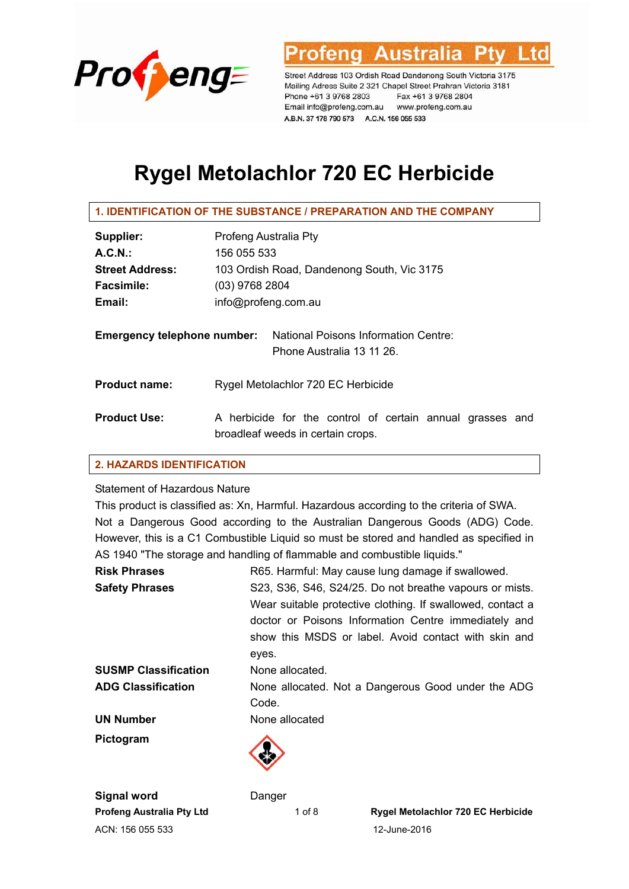

Austra

Street Address 103 Ordish Road Dandenong South Victoria 3175 Mailing Adress Suite 2 321 Chapel Street Prahran Victoria 3181 Phone +61 3 9768 2803 Fax +61 3 9768 2804 Email info@profeng.com.au www.profeng.com.au A.B.N. 37 178 790 573 A.C.N. 156 055 533

# **Rygel Metolachlor 720 EC Herbicide**

#### **1. IDENTIFICATION OF THE SUBSTANCE / PREPARATION AND THE COMPANY**

| Supplier:                          | Profeng Australia Pty                                                                          |
|------------------------------------|------------------------------------------------------------------------------------------------|
| A.C.N.                             | 156 055 533                                                                                    |
| <b>Street Address:</b>             | 103 Ordish Road, Dandenong South, Vic 3175                                                     |
| <b>Facsimile:</b>                  | $(03)$ 9768 2804                                                                               |
| Email:                             | info@profeng.com.au                                                                            |
| <b>Emergency telephone number:</b> | National Poisons Information Centre:<br>Phone Australia 13 11 26.                              |
| <b>Product name:</b>               | Rygel Metolachlor 720 EC Herbicide                                                             |
| <b>Product Use:</b>                | A herbicide for the control of certain annual grasses and<br>broadleaf weeds in certain crops. |

# **2. HAZARDS IDENTIFICATION**

#### Statement of Hazardous Nature

This product is classified as: Xn, Harmful. Hazardous according to the criteria of SWA. Not a Dangerous Good according to the Australian Dangerous Goods (ADG) Code. However, this is a C1 Combustible Liquid so must be stored and handled as specified in AS 1940 "The storage and handling of flammable and combustible liquids."

| <b>Risk Phrases</b>         | R65. Harmful: May cause lung damage if swallowed.          |
|-----------------------------|------------------------------------------------------------|
| <b>Safety Phrases</b>       | S23, S36, S46, S24/25. Do not breathe vapours or mists.    |
|                             | Wear suitable protective clothing. If swallowed, contact a |
|                             | doctor or Poisons Information Centre immediately and       |
|                             | show this MSDS or label. Avoid contact with skin and       |
|                             | eyes.                                                      |
| <b>SUSMP Classification</b> | None allocated.                                            |
| <b>ADG Classification</b>   | None allocated. Not a Dangerous Good under the ADG         |
|                             | Code.                                                      |
| <b>UN Number</b>            | None allocated                                             |
| Pictogram                   |                                                            |
|                             |                                                            |
|                             |                                                            |

ACN: 156 055 533 12-June-2016 **Signal word** Danger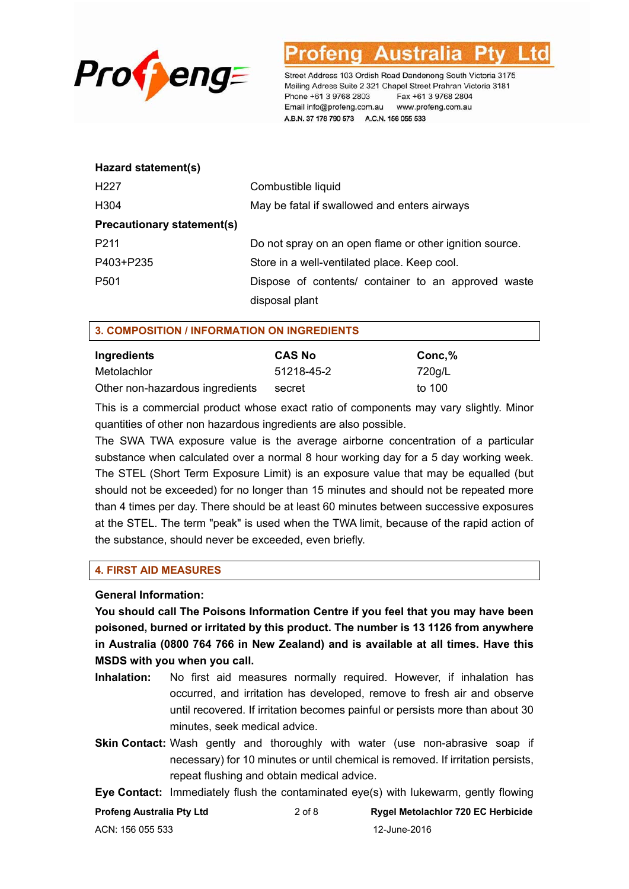

| Hazard statement(s)               |                                                         |
|-----------------------------------|---------------------------------------------------------|
| H <sub>22</sub> 7                 | Combustible liquid                                      |
| H304                              | May be fatal if swallowed and enters airways            |
| <b>Precautionary statement(s)</b> |                                                         |
| P <sub>2</sub> 11                 | Do not spray on an open flame or other ignition source. |
| P403+P235                         | Store in a well-ventilated place. Keep cool.            |
| P <sub>501</sub>                  | Dispose of contents/ container to an approved waste     |
|                                   | disposal plant                                          |

### **3. COMPOSITION / INFORMATION ON INGREDIENTS**

| Ingredients                     | <b>CAS No</b> | Conc,% |
|---------------------------------|---------------|--------|
| Metolachlor                     | 51218-45-2    | 720g/L |
| Other non-hazardous ingredients | secret        | to 100 |

This is a commercial product whose exact ratio of components may vary slightly. Minor quantities of other non hazardous ingredients are also possible.

The SWA TWA exposure value is the average airborne concentration of a particular substance when calculated over a normal 8 hour working day for a 5 day working week. The STEL (Short Term Exposure Limit) is an exposure value that may be equalled (but should not be exceeded) for no longer than 15 minutes and should not be repeated more than 4 times per day. There should be at least 60 minutes between successive exposures at the STEL. The term "peak" is used when the TWA limit, because of the rapid action of the substance, should never be exceeded, even briefly.

#### **4. FIRST AID MEASURES**

#### **General Information:**

**You should call The Poisons Information Centre if you feel that you may have been poisoned, burned or irritated by this product. The number is 13 1126 from anywhere in Australia (0800 764 766 in New Zealand) and is available at all times. Have this MSDS with you when you call.** 

- **Inhalation:** No first aid measures normally required. However, if inhalation has occurred, and irritation has developed, remove to fresh air and observe until recovered. If irritation becomes painful or persists more than about 30 minutes, seek medical advice.
- **Skin Contact:** Wash gently and thoroughly with water (use non-abrasive soap if necessary) for 10 minutes or until chemical is removed. If irritation persists, repeat flushing and obtain medical advice.

**Eye Contact:** Immediately flush the contaminated eye(s) with lukewarm, gently flowing

| Profeng Australia Pty Ltd | $2$ of $8$ | Rygel Metolachlor 720 EC Herbicide |
|---------------------------|------------|------------------------------------|
| ACN: 156 055 533          |            | 12-June-2016                       |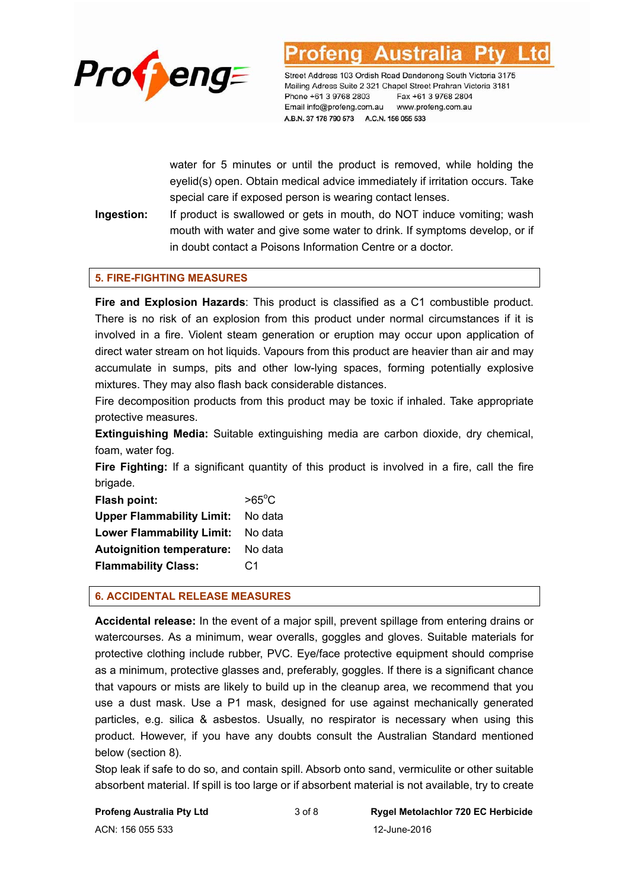

water for 5 minutes or until the product is removed, while holding the eyelid(s) open. Obtain medical advice immediately if irritation occurs. Take special care if exposed person is wearing contact lenses.

**Ingestion:** If product is swallowed or gets in mouth, do NOT induce vomiting; wash mouth with water and give some water to drink. If symptoms develop, or if in doubt contact a Poisons Information Centre or a doctor.

### **5. FIRE-FIGHTING MEASURES**

**Fire and Explosion Hazards**: This product is classified as a C1 combustible product. There is no risk of an explosion from this product under normal circumstances if it is involved in a fire. Violent steam generation or eruption may occur upon application of direct water stream on hot liquids. Vapours from this product are heavier than air and may accumulate in sumps, pits and other low-lying spaces, forming potentially explosive mixtures. They may also flash back considerable distances.

Fire decomposition products from this product may be toxic if inhaled. Take appropriate protective measures.

**Extinguishing Media:** Suitable extinguishing media are carbon dioxide, dry chemical, foam, water fog.

**Fire Fighting:** If a significant quantity of this product is involved in a fire, call the fire brigade.

| Flash point:                     | $>65^{\circ}$ C |
|----------------------------------|-----------------|
| <b>Upper Flammability Limit:</b> | No data         |
| <b>Lower Flammability Limit:</b> | No data         |
| <b>Autoignition temperature:</b> | No data         |
| <b>Flammability Class:</b>       | C <sub>1</sub>  |

#### **6. ACCIDENTAL RELEASE MEASURES**

**Accidental release:** In the event of a major spill, prevent spillage from entering drains or watercourses. As a minimum, wear overalls, goggles and gloves. Suitable materials for protective clothing include rubber, PVC. Eye/face protective equipment should comprise as a minimum, protective glasses and, preferably, goggles. If there is a significant chance that vapours or mists are likely to build up in the cleanup area, we recommend that you use a dust mask. Use a P1 mask, designed for use against mechanically generated particles, e.g. silica & asbestos. Usually, no respirator is necessary when using this product. However, if you have any doubts consult the Australian Standard mentioned below (section 8).

Stop leak if safe to do so, and contain spill. Absorb onto sand, vermiculite or other suitable absorbent material. If spill is too large or if absorbent material is not available, try to create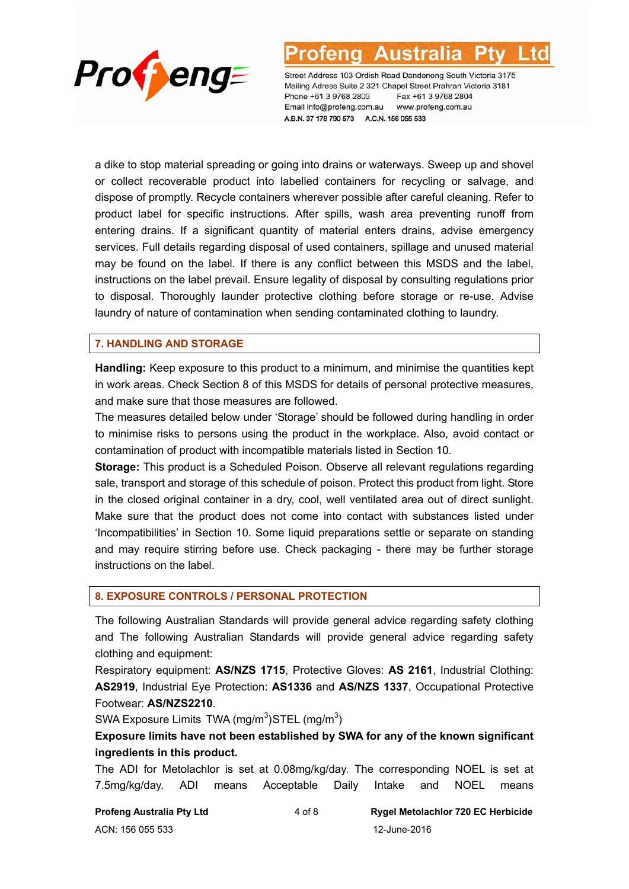

a dike to stop material spreading or going into drains or waterways. Sweep up and shovel or collect recoverable product into labelled containers for recycling or salvage, and dispose of promptly. Recycle containers wherever possible after careful cleaning. Refer to product label for specific instructions. After spills, wash area preventing runoff from entering drains. If a significant quantity of material enters drains, advise emergency services. Full details regarding disposal of used containers, spillage and unused material may be found on the label. If there is any conflict between this MSDS and the label, instructions on the label prevail. Ensure legality of disposal by consulting regulations prior to disposal. Thoroughly launder protective clothing before storage or re-use. Advise laundry of nature of contamination when sending contaminated clothing to laundry.

# **7. HANDLING AND STORAGE**

**Handling:** Keep exposure to this product to a minimum, and minimise the quantities kept in work areas. Check Section 8 of this MSDS for details of personal protective measures, and make sure that those measures are followed.

The measures detailed below under 'Storage' should be followed during handling in order to minimise risks to persons using the product in the workplace. Also, avoid contact or contamination of product with incompatible materials listed in Section 10.

**Storage:** This product is a Scheduled Poison. Observe all relevant regulations regarding sale, transport and storage of this schedule of poison. Protect this product from light. Store in the closed original container in a dry, cool, well ventilated area out of direct sunlight. Make sure that the product does not come into contact with substances listed under 'Incompatibilities' in Section 10. Some liquid preparations settle or separate on standing and may require stirring before use. Check packaging - there may be further storage instructions on the label.

#### **8. EXPOSURE CONTROLS / PERSONAL PROTECTION**

The following Australian Standards will provide general advice regarding safety clothing and The following Australian Standards will provide general advice regarding safety clothing and equipment:

Respiratory equipment: **AS/NZS 1715**, Protective Gloves: **AS 2161**, Industrial Clothing: **AS2919**, Industrial Eye Protection: **AS1336** and **AS/NZS 1337**, Occupational Protective Footwear: **AS/NZS2210**.

SWA Exposure Limits TWA (mg/m<sup>3</sup>) STEL (mg/m<sup>3</sup>)

**Exposure limits have not been established by SWA for any of the known significant ingredients in this product.** 

The ADI for Metolachlor is set at 0.08mg/kg/day. The corresponding NOEL is set at 7.5mg/kg/day. ADI means Acceptable Daily Intake and NOEL means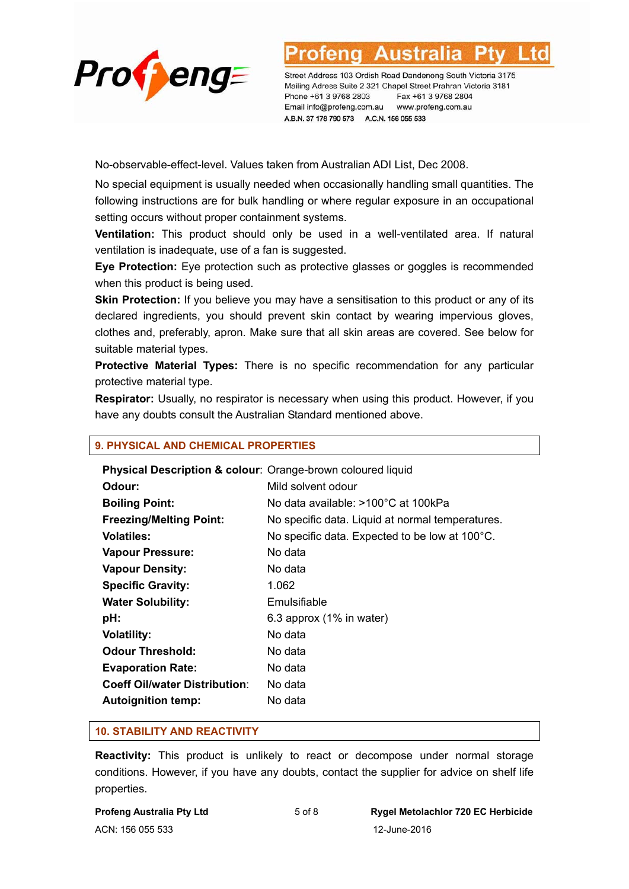

No-observable-effect-level. Values taken from Australian ADI List, Dec 2008.

No special equipment is usually needed when occasionally handling small quantities. The following instructions are for bulk handling or where regular exposure in an occupational setting occurs without proper containment systems.

**Ventilation:** This product should only be used in a well-ventilated area. If natural ventilation is inadequate, use of a fan is suggested.

**Eye Protection:** Eye protection such as protective glasses or goggles is recommended when this product is being used.

**Skin Protection:** If you believe you may have a sensitisation to this product or any of its declared ingredients, you should prevent skin contact by wearing impervious gloves, clothes and, preferably, apron. Make sure that all skin areas are covered. See below for suitable material types.

**Protective Material Types:** There is no specific recommendation for any particular protective material type.

**Respirator:** Usually, no respirator is necessary when using this product. However, if you have any doubts consult the Australian Standard mentioned above.

#### **9. PHYSICAL AND CHEMICAL PROPERTIES**

| Physical Description & colour: Orange-brown coloured liquid |                                                  |
|-------------------------------------------------------------|--------------------------------------------------|
| Odour:                                                      | Mild solvent odour                               |
| <b>Boiling Point:</b>                                       | No data available: >100°C at 100kPa              |
| <b>Freezing/Melting Point:</b>                              | No specific data. Liquid at normal temperatures. |
| <b>Volatiles:</b>                                           | No specific data. Expected to be low at 100°C.   |
| <b>Vapour Pressure:</b>                                     | No data                                          |
| <b>Vapour Density:</b>                                      | No data                                          |
| <b>Specific Gravity:</b>                                    | 1.062                                            |
| <b>Water Solubility:</b>                                    | Emulsifiable                                     |
| pH:                                                         | 6.3 approx (1% in water)                         |
| <b>Volatility:</b>                                          | No data                                          |
| <b>Odour Threshold:</b>                                     | No data                                          |
| <b>Evaporation Rate:</b>                                    | No data                                          |
| <b>Coeff Oil/water Distribution:</b>                        | No data                                          |
| <b>Autoignition temp:</b>                                   | No data                                          |

#### **10. STABILITY AND REACTIVITY**

**Reactivity:** This product is unlikely to react or decompose under normal storage conditions. However, if you have any doubts, contact the supplier for advice on shelf life properties.

| <b>Profeng Australia Pty Ltd</b> |  |
|----------------------------------|--|
| ACN: 156 055 533                 |  |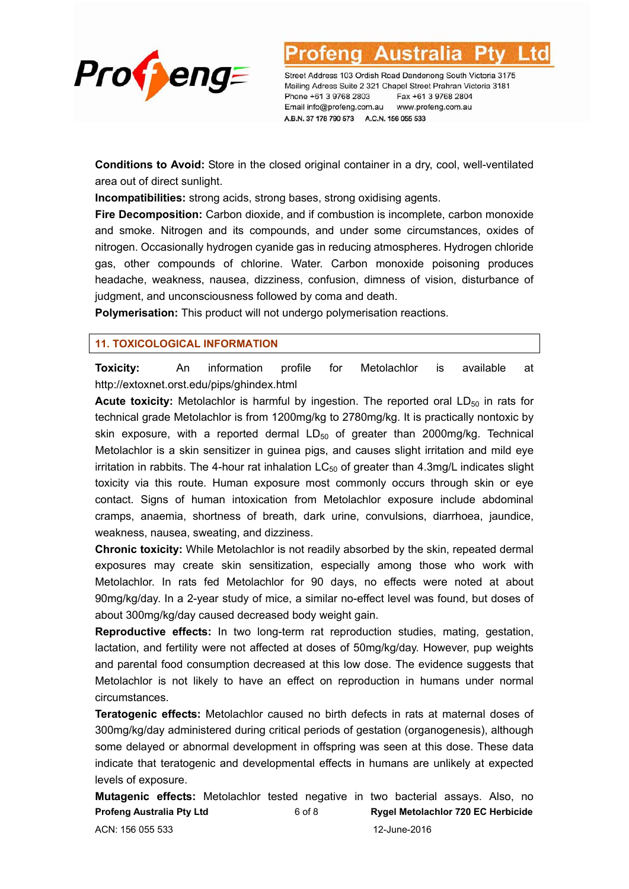

Austra

Street Address 103 Ordish Road Dandenong South Victoria 3175 Mailing Adress Suite 2 321 Chapel Street Prahran Victoria 3181 Phone +61 3 9768 2803 Fax +61 3 9768 2804 Email info@profeng.com.au www.profeng.com.au A.B.N. 37 178 790 573 A.C.N. 156 055 533

**Conditions to Avoid:** Store in the closed original container in a dry, cool, well-ventilated area out of direct sunlight.

**Incompatibilities:** strong acids, strong bases, strong oxidising agents.

**Fire Decomposition:** Carbon dioxide, and if combustion is incomplete, carbon monoxide and smoke. Nitrogen and its compounds, and under some circumstances, oxides of nitrogen. Occasionally hydrogen cyanide gas in reducing atmospheres. Hydrogen chloride gas, other compounds of chlorine. Water. Carbon monoxide poisoning produces headache, weakness, nausea, dizziness, confusion, dimness of vision, disturbance of judgment, and unconsciousness followed by coma and death.

**Polymerisation:** This product will not undergo polymerisation reactions.

#### **11. TOXICOLOGICAL INFORMATION**

**Toxicity:** An information profile for Metolachlor is available at http://extoxnet.orst.edu/pips/ghindex.html

**Acute toxicity:** Metolachlor is harmful by ingestion. The reported oral LD<sub>50</sub> in rats for technical grade Metolachlor is from 1200mg/kg to 2780mg/kg. It is practically nontoxic by skin exposure, with a reported dermal  $LD_{50}$  of greater than 2000mg/kg. Technical Metolachlor is a skin sensitizer in guinea pigs, and causes slight irritation and mild eye irritation in rabbits. The 4-hour rat inhalation  $LC_{50}$  of greater than 4.3mg/L indicates slight toxicity via this route. Human exposure most commonly occurs through skin or eye contact. Signs of human intoxication from Metolachlor exposure include abdominal cramps, anaemia, shortness of breath, dark urine, convulsions, diarrhoea, jaundice, weakness, nausea, sweating, and dizziness.

**Chronic toxicity:** While Metolachlor is not readily absorbed by the skin, repeated dermal exposures may create skin sensitization, especially among those who work with Metolachlor. In rats fed Metolachlor for 90 days, no effects were noted at about 90mg/kg/day. In a 2-year study of mice, a similar no-effect level was found, but doses of about 300mg/kg/day caused decreased body weight gain.

**Reproductive effects:** In two long-term rat reproduction studies, mating, gestation, lactation, and fertility were not affected at doses of 50mg/kg/day. However, pup weights and parental food consumption decreased at this low dose. The evidence suggests that Metolachlor is not likely to have an effect on reproduction in humans under normal circumstances.

**Teratogenic effects:** Metolachlor caused no birth defects in rats at maternal doses of 300mg/kg/day administered during critical periods of gestation (organogenesis), although some delayed or abnormal development in offspring was seen at this dose. These data indicate that teratogenic and developmental effects in humans are unlikely at expected levels of exposure.

**Profeng Australia Pty Ltd** 6 of 8 **Rygel Metolachlor 720 EC Herbicide**  ACN: 156 055 533 12-June-2016 **Mutagenic effects:** Metolachlor tested negative in two bacterial assays. Also, no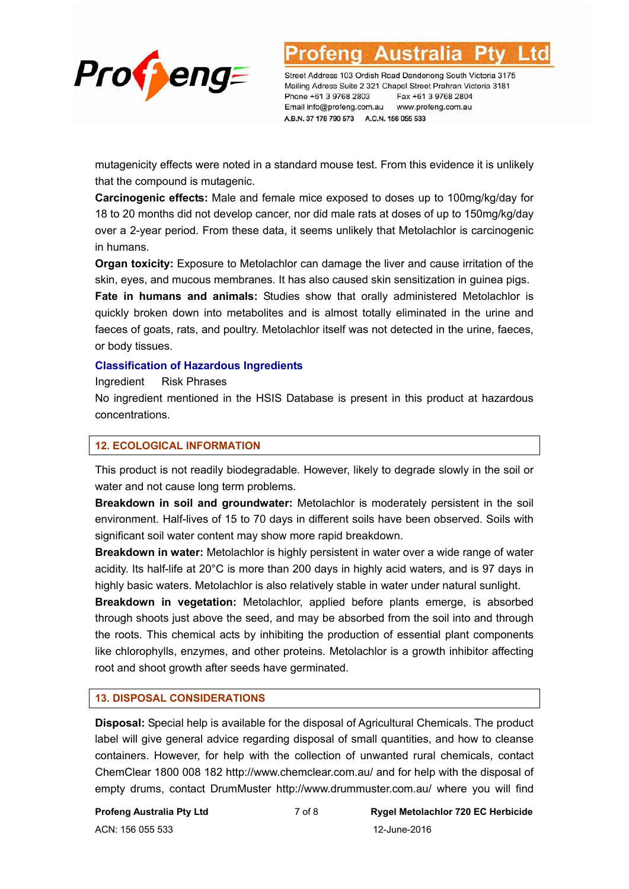

mutagenicity effects were noted in a standard mouse test. From this evidence it is unlikely that the compound is mutagenic.

**Carcinogenic effects:** Male and female mice exposed to doses up to 100mg/kg/day for 18 to 20 months did not develop cancer, nor did male rats at doses of up to 150mg/kg/day over a 2-year period. From these data, it seems unlikely that Metolachlor is carcinogenic in humans.

**Organ toxicity:** Exposure to Metolachlor can damage the liver and cause irritation of the skin, eyes, and mucous membranes. It has also caused skin sensitization in guinea pigs.

**Fate in humans and animals:** Studies show that orally administered Metolachlor is quickly broken down into metabolites and is almost totally eliminated in the urine and faeces of goats, rats, and poultry. Metolachlor itself was not detected in the urine, faeces, or body tissues.

#### **Classification of Hazardous Ingredients**

Ingredient Risk Phrases

No ingredient mentioned in the HSIS Database is present in this product at hazardous concentrations.

#### **12. ECOLOGICAL INFORMATION**

This product is not readily biodegradable. However, likely to degrade slowly in the soil or water and not cause long term problems.

**Breakdown in soil and groundwater:** Metolachlor is moderately persistent in the soil environment. Half-lives of 15 to 70 days in different soils have been observed. Soils with significant soil water content may show more rapid breakdown.

**Breakdown in water:** Metolachlor is highly persistent in water over a wide range of water acidity. Its half-life at 20°C is more than 200 days in highly acid waters, and is 97 days in highly basic waters. Metolachlor is also relatively stable in water under natural sunlight.

**Breakdown in vegetation:** Metolachlor, applied before plants emerge, is absorbed through shoots just above the seed, and may be absorbed from the soil into and through the roots. This chemical acts by inhibiting the production of essential plant components like chlorophylls, enzymes, and other proteins. Metolachlor is a growth inhibitor affecting root and shoot growth after seeds have germinated.

#### **13. DISPOSAL CONSIDERATIONS**

**Disposal:** Special help is available for the disposal of Agricultural Chemicals. The product label will give general advice regarding disposal of small quantities, and how to cleanse containers. However, for help with the collection of unwanted rural chemicals, contact ChemClear 1800 008 182 http://www.chemclear.com.au/ and for help with the disposal of empty drums, contact DrumMuster http://www.drummuster.com.au/ where you will find

ACN: 156 055 533 12-June-2016